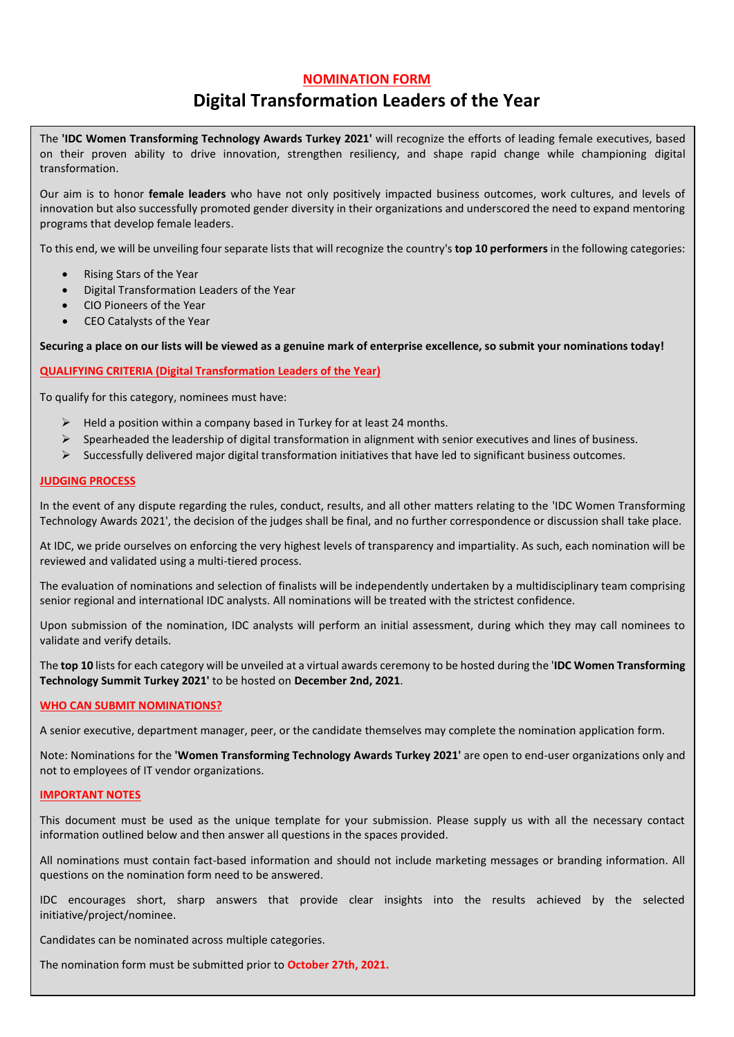# **NOMINATION FORM**

# **Digital Transformation Leaders of the Year**

The **'IDC Women Transforming Technology Awards Turkey 2021'** will recognize the efforts of leading female executives, based on their proven ability to drive innovation, strengthen resiliency, and shape rapid change while championing digital transformation.

Our aim is to honor **female leaders** who have not only positively impacted business outcomes, work cultures, and levels of innovation but also successfully promoted gender diversity in their organizations and underscored the need to expand mentoring programs that develop female leaders.

To this end, we will be unveiling four separate lists that will recognize the country's **top 10 performers** in the following categories:

- Rising Stars of the Year
- Digital Transformation Leaders of the Year
- CIO Pioneers of the Year
- CEO Catalysts of the Year

**Securing a place on our lists will be viewed as a genuine mark of enterprise excellence, so submit your nominations today!**

#### **QUALIFYING CRITERIA (Digital Transformation Leaders of the Year)**

To qualify for this category, nominees must have:

- $\triangleright$  Held a position within a company based in Turkey for at least 24 months.
- ➢ Spearheaded the leadership of digital transformation in alignment with senior executives and lines of business.
- $\triangleright$  Successfully delivered major digital transformation initiatives that have led to significant business outcomes.

### **JUDGING PROCESS**

In the event of any dispute regarding the rules, conduct, results, and all other matters relating to the 'IDC Women Transforming Technology Awards 2021', the decision of the judges shall be final, and no further correspondence or discussion shall take place.

At IDC, we pride ourselves on enforcing the very highest levels of transparency and impartiality. As such, each nomination will be reviewed and validated using a multi-tiered process.

The evaluation of nominations and selection of finalists will be independently undertaken by a multidisciplinary team comprising senior regional and international IDC analysts. All nominations will be treated with the strictest confidence.

Upon submission of the nomination, IDC analysts will perform an initial assessment, during which they may call nominees to validate and verify details.

The **top 10** lists for each category will be unveiled at a virtual awards ceremony to be hosted during the '**IDC Women Transforming Technology Summit Turkey 2021'** to be hosted on **December 2nd, 2021**.

#### **WHO CAN SUBMIT NOMINATIONS?**

A senior executive, department manager, peer, or the candidate themselves may complete the nomination application form.

Note: Nominations for the **'Women Transforming Technology Awards Turkey 2021'** are open to end-user organizations only and not to employees of IT vendor organizations.

#### **IMPORTANT NOTES**

This document must be used as the unique template for your submission. Please supply us with all the necessary contact information outlined below and then answer all questions in the spaces provided.

All nominations must contain fact-based information and should not include marketing messages or branding information. All questions on the nomination form need to be answered.

IDC encourages short, sharp answers that provide clear insights into the results achieved by the selected initiative/project/nominee.

Candidates can be nominated across multiple categories.

The nomination form must be submitted prior to **October 27th, 2021.**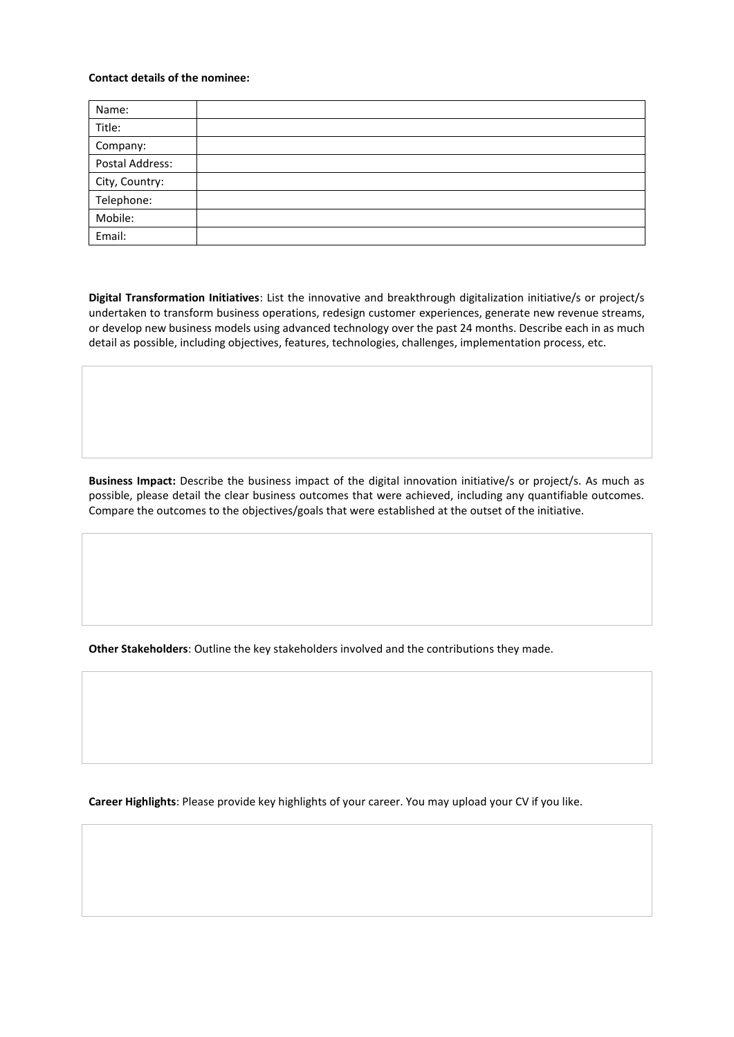## **Contact details of the nominee:**

| Name:           |  |
|-----------------|--|
| Title:          |  |
| Company:        |  |
| Postal Address: |  |
| City, Country:  |  |
| Telephone:      |  |
| Mobile:         |  |
| Email:          |  |

**Digital Transformation Initiatives**: List the innovative and breakthrough digitalization initiative/s or project/s undertaken to transform business operations, redesign customer experiences, generate new revenue streams, or develop new business models using advanced technology over the past 24 months. Describe each in as much detail as possible, including objectives, features, technologies, challenges, implementation process, etc.

**Business Impact:** Describe the business impact of the digital innovation initiative/s or project/s. As much as possible, please detail the clear business outcomes that were achieved, including any quantifiable outcomes. Compare the outcomes to the objectives/goals that were established at the outset of the initiative.

**Other Stakeholders**: Outline the key stakeholders involved and the contributions they made.

**Career Highlights**: Please provide key highlights of your career. You may upload your CV if you like.